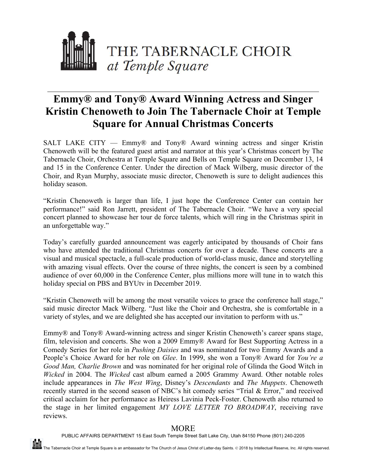

## **Emmy® and Tony® Award Winning Actress and Singer Kristin Chenoweth to Join The Tabernacle Choir at Temple Square for Annual Christmas Concerts**

SALT LAKE CITY — Emmy® and Tony® Award winning actress and singer Kristin Chenoweth will be the featured guest artist and narrator at this year's Christmas concert by The Tabernacle Choir, Orchestra at Temple Square and Bells on Temple Square on December 13, 14 and 15 in the Conference Center. Under the direction of Mack Wilberg, music director of the Choir, and Ryan Murphy, associate music director, Chenoweth is sure to delight audiences this holiday season.

"Kristin Chenoweth is larger than life, I just hope the Conference Center can contain her performance!" said Ron Jarrett, president of The Tabernacle Choir. "We have a very special concert planned to showcase her tour de force talents, which will ring in the Christmas spirit in an unforgettable way."

Today's carefully guarded announcement was eagerly anticipated by thousands of Choir fans who have attended the traditional Christmas concerts for over a decade. These concerts are a visual and musical spectacle, a full-scale production of world-class music, dance and storytelling with amazing visual effects. Over the course of three nights, the concert is seen by a combined audience of over 60,000 in the Conference Center, plus millions more will tune in to watch this holiday special on PBS and BYUtv in December 2019.

"Kristin Chenoweth will be among the most versatile voices to grace the conference hall stage," said music director Mack Wilberg. "Just like the Choir and Orchestra, she is comfortable in a variety of styles, and we are delighted she has accepted our invitation to perform with us."

Emmy® and Tony® Award-winning actress and singer Kristin Chenoweth's career spans stage, film, television and concerts. She won a 2009 Emmy® Award for Best Supporting Actress in a Comedy Series for her role in *Pushing Daisies* and was nominated for two Emmy Awards and a People's Choice Award for her role on *Glee*. In 1999, she won a Tony® Award for *You're a Good Man, Charlie Brown* and was nominated for her original role of Glinda the Good Witch in *Wicked* in 2004. The *Wicked* cast album earned a 2005 Grammy Award. Other notable roles include appearances in *The West Wing*, Disney's *Descendants* and *The Muppets*. Chenoweth recently starred in the second season of NBC's hit comedy series "Trial & Error," and received critical acclaim for her performance as Heiress Lavinia Peck-Foster. Chenoweth also returned to the stage in her limited engagement *MY LOVE LETTER TO BROADWAY*, receiving rave reviews.

## **MORE**

PUBLIC AFFAIRS DEPARTMENT 15 East South Temple Street Salt Lake City, Utah 84150 Phone (801) 240-2205